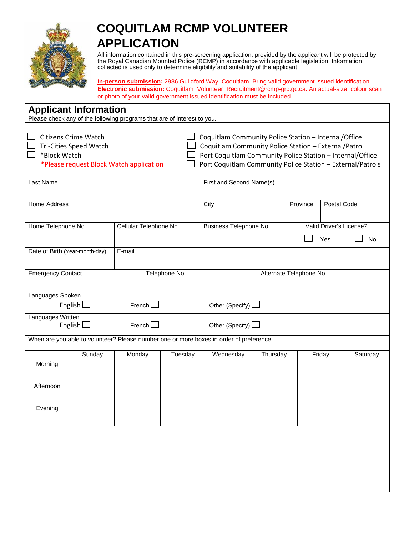

## **COQUITLAM RCMP VOLUNTEER APPLICATION**

All information contained in this pre-screening application, provided by the applicant will be protected by the Royal Canadian Mounted Police (RCMP) in accordance with applicable legislation. Information collected is used only to determine eligibility and suitability of the applicant.

**In-person submission:** 2986 Guildford Way, Coquitlam. Bring valid government issued identification. **Electronic submission:** Coquitlam\_Volunteer\_Recruitment@rcmp-grc.gc.ca**.** An actual-size, colour scan or photo of your valid government issued identification must be included.

| <b>Applicant Information</b><br>Please check any of the following programs that are of interest to you.          |               |                        |  |                                                                                                                                                                                                                                         |                         |          |                         |  |        |                               |  |
|------------------------------------------------------------------------------------------------------------------|---------------|------------------------|--|-----------------------------------------------------------------------------------------------------------------------------------------------------------------------------------------------------------------------------------------|-------------------------|----------|-------------------------|--|--------|-------------------------------|--|
| <b>Citizens Crime Watch</b><br>Tri-Cities Speed Watch<br>*Block Watch<br>*Please request Block Watch application |               |                        |  | Coquitlam Community Police Station - Internal/Office<br>Coquitlam Community Police Station - External/Patrol<br>Port Coquitlam Community Police Station - Internal/Office<br>Port Coquitlam Community Police Station - External/Patrols |                         |          |                         |  |        |                               |  |
| Last Name                                                                                                        |               |                        |  | First and Second Name(s)                                                                                                                                                                                                                |                         |          |                         |  |        |                               |  |
| <b>Home Address</b>                                                                                              |               |                        |  | City                                                                                                                                                                                                                                    |                         |          | Postal Code<br>Province |  |        |                               |  |
| Home Telephone No.                                                                                               |               | Cellular Telephone No. |  |                                                                                                                                                                                                                                         | Business Telephone No.  |          |                         |  | Yes    | Valid Driver's License?<br>No |  |
| Date of Birth (Year-month-day)                                                                                   | E-mail        |                        |  |                                                                                                                                                                                                                                         |                         |          |                         |  |        |                               |  |
| <b>Emergency Contact</b>                                                                                         | Telephone No. |                        |  |                                                                                                                                                                                                                                         | Alternate Telephone No. |          |                         |  |        |                               |  |
| Languages Spoken<br>English $\square$<br>French                                                                  |               |                        |  | Other (Specify) $\Box$                                                                                                                                                                                                                  |                         |          |                         |  |        |                               |  |
| Languages Written<br>French $\square$<br>English $\Box$                                                          |               |                        |  | Other (Specify) $\Box$                                                                                                                                                                                                                  |                         |          |                         |  |        |                               |  |
| When are you able to volunteer? Please number one or more boxes in order of preference.                          |               |                        |  |                                                                                                                                                                                                                                         |                         |          |                         |  |        |                               |  |
|                                                                                                                  | Sunday        | Monday                 |  | Tuesday                                                                                                                                                                                                                                 | Wednesday               | Thursday |                         |  | Friday | Saturday                      |  |
| Morning                                                                                                          |               |                        |  |                                                                                                                                                                                                                                         |                         |          |                         |  |        |                               |  |
| Afternoon                                                                                                        |               |                        |  |                                                                                                                                                                                                                                         |                         |          |                         |  |        |                               |  |
| Evenina                                                                                                          |               |                        |  |                                                                                                                                                                                                                                         |                         |          |                         |  |        |                               |  |
|                                                                                                                  |               |                        |  |                                                                                                                                                                                                                                         |                         |          |                         |  |        |                               |  |
|                                                                                                                  |               |                        |  |                                                                                                                                                                                                                                         |                         |          |                         |  |        |                               |  |
|                                                                                                                  |               |                        |  |                                                                                                                                                                                                                                         |                         |          |                         |  |        |                               |  |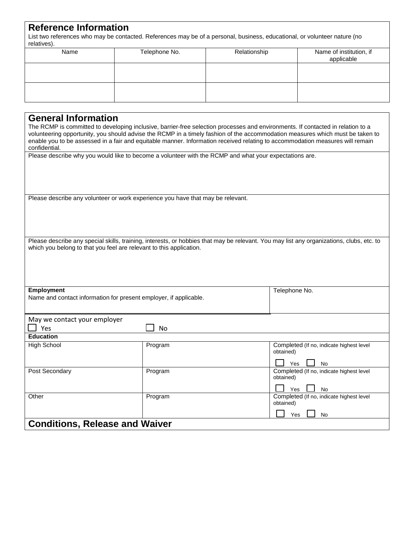## **Reference Information**

List two references who may be contacted. References may be of a personal, business, educational, or volunteer nature (no relatives).

| Name | Telephone No. | Relationship | Name of institution, if<br>applicable |  |
|------|---------------|--------------|---------------------------------------|--|
|      |               |              |                                       |  |
|      |               |              |                                       |  |

| <b>General Information</b>            |                                                                                 |                                                                                                                                                                                                                                                                                                                                                                                                   |
|---------------------------------------|---------------------------------------------------------------------------------|---------------------------------------------------------------------------------------------------------------------------------------------------------------------------------------------------------------------------------------------------------------------------------------------------------------------------------------------------------------------------------------------------|
| confidential.                         |                                                                                 | The RCMP is committed to developing inclusive, barrier-free selection processes and environments. If contacted in relation to a<br>volunteering opportunity, you should advise the RCMP in a timely fashion of the accommodation measures which must be taken to<br>enable you to be assessed in a fair and equitable manner. Information received relating to accommodation measures will remain |
|                                       |                                                                                 | Please describe why you would like to become a volunteer with the RCMP and what your expectations are.                                                                                                                                                                                                                                                                                            |
|                                       |                                                                                 |                                                                                                                                                                                                                                                                                                                                                                                                   |
|                                       | Please describe any volunteer or work experience you have that may be relevant. |                                                                                                                                                                                                                                                                                                                                                                                                   |
|                                       |                                                                                 |                                                                                                                                                                                                                                                                                                                                                                                                   |
|                                       |                                                                                 |                                                                                                                                                                                                                                                                                                                                                                                                   |
|                                       |                                                                                 |                                                                                                                                                                                                                                                                                                                                                                                                   |
|                                       |                                                                                 | Please describe any special skills, training, interests, or hobbies that may be relevant. You may list any organizations, clubs, etc. to                                                                                                                                                                                                                                                          |
|                                       | which you belong to that you feel are relevant to this application.             |                                                                                                                                                                                                                                                                                                                                                                                                   |
|                                       |                                                                                 |                                                                                                                                                                                                                                                                                                                                                                                                   |
|                                       |                                                                                 |                                                                                                                                                                                                                                                                                                                                                                                                   |
|                                       |                                                                                 |                                                                                                                                                                                                                                                                                                                                                                                                   |
| <b>Employment</b>                     |                                                                                 | Telephone No.                                                                                                                                                                                                                                                                                                                                                                                     |
|                                       | Name and contact information for present employer, if applicable.               |                                                                                                                                                                                                                                                                                                                                                                                                   |
|                                       |                                                                                 |                                                                                                                                                                                                                                                                                                                                                                                                   |
| May we contact your employer          |                                                                                 |                                                                                                                                                                                                                                                                                                                                                                                                   |
| $\Box$ Yes                            | No                                                                              |                                                                                                                                                                                                                                                                                                                                                                                                   |
| <b>Education</b>                      |                                                                                 |                                                                                                                                                                                                                                                                                                                                                                                                   |
| <b>High School</b>                    | Program                                                                         | Completed (If no, indicate highest level<br>obtained)                                                                                                                                                                                                                                                                                                                                             |
|                                       |                                                                                 | Yes<br>No                                                                                                                                                                                                                                                                                                                                                                                         |
| Post Secondary                        | Program                                                                         | Completed (If no, indicate highest level                                                                                                                                                                                                                                                                                                                                                          |
|                                       |                                                                                 | obtained)                                                                                                                                                                                                                                                                                                                                                                                         |
|                                       |                                                                                 | Yes<br>No                                                                                                                                                                                                                                                                                                                                                                                         |
| Other                                 | Program                                                                         | Completed (If no, indicate highest level<br>obtained)                                                                                                                                                                                                                                                                                                                                             |
|                                       |                                                                                 | Yes<br>No                                                                                                                                                                                                                                                                                                                                                                                         |
| <b>Conditions, Release and Waiver</b> |                                                                                 |                                                                                                                                                                                                                                                                                                                                                                                                   |